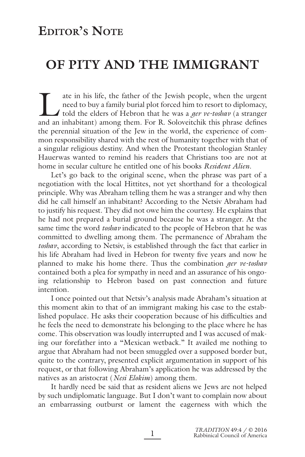## **EDITOR'S NOTE**

# **OF PITY AND THE IMMIGRANT**

The attem in his life, the father of the Jewish people, when the urgent<br>need to buy a family burial plot forced him to resort to diplomacy,<br>told the elders of Hebron that he was a *ger ve-toshav* (a stranger<br>and an inhabit need to buy a family burial plot forced him to resort to diplomacy, told the elders of Hebron that he was a *ger ve-toshav* (a stranger and an inhabitant) among them. For R. Soloveitchik this phrase defines the perennial situation of the Jew in the world, the experience of common responsibility shared with the rest of humanity together with that of a singular religious destiny. And when the Protestant theologian Stanley Hauerwas wanted to remind his readers that Christians too are not at home in secular culture he entitled one of his books *Resident Alien*.

Let's go back to the original scene, when the phrase was part of a negotiation with the local Hittites, not yet shorthand for a theological principle. Why was Abraham telling them he was a stranger and why then did he call himself an inhabitant? According to the Netsiv Abraham had to justify his request. They did not owe him the courtesy. He explains that he had not prepared a burial ground because he was a stranger. At the same time the word *toshav* indicated to the people of Hebron that he was committed to dwelling among them. The permanence of Abraham the *toshav*, according to Netsiv, is established through the fact that earlier in his life Abraham had lived in Hebron for twenty five years and now he planned to make his home there. Thus the combination *ger ve-toshav* contained both a plea for sympathy in need and an assurance of his ongoing relationship to Hebron based on past connection and future intention.

I once pointed out that Netsiv's analysis made Abraham's situation at this moment akin to that of an immigrant making his case to the established populace. He asks their cooperation because of his difficulties and he feels the need to demonstrate his belonging to the place where he has come. This observation was loudly interrupted and I was accused of making our forefather into a "Mexican wetback." It availed me nothing to argue that Abraham had not been smuggled over a supposed border but, quite to the contrary, presented explicit argumentation in support of his request, or that following Abraham's application he was addressed by the natives as an aristocrat (*Nesi Elokim*) among them.

It hardly need be said that as resident aliens we Jews are not helped by such undiplomatic language. But I don't want to complain now about an embarrassing outburst or lament the eagerness with which the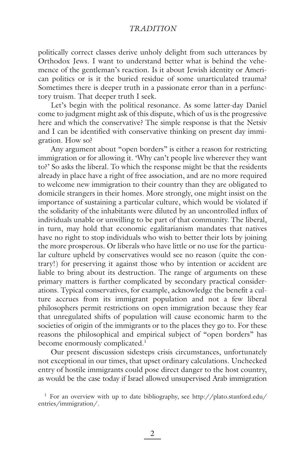## *TRADITION*

politically correct classes derive unholy delight from such utterances by Orthodox Jews. I want to understand better what is behind the vehemence of the gentleman's reaction. Is it about Jewish identity or American politics or is it the buried residue of some unarticulated trauma? Sometimes there is deeper truth in a passionate error than in a perfunctory truism. That deeper truth I seek.

Let's begin with the political resonance. As some latter-day Daniel come to judgment might ask of this dispute, which of us is the progressive here and which the conservative? The simple response is that the Netsiv and I can be identified with conservative thinking on present day immigration. How so?

Any argument about "open borders" is either a reason for restricting immigration or for allowing it. 'Why can't people live wherever they want to?' So asks the liberal. To which the response might be that the residents already in place have a right of free association, and are no more required to welcome new immigration to their country than they are obligated to domicile strangers in their homes. More strongly, one might insist on the importance of sustaining a particular culture, which would be violated if the solidarity of the inhabitants were diluted by an uncontrolled influx of individuals unable or unwilling to be part of that community. The liberal, in turn, may hold that economic egalitarianism mandates that natives have no right to stop individuals who wish to better their lots by joining the more prosperous. Or liberals who have little or no use for the particular culture upheld by conservatives would see no reason (quite the contrary!) for preserving it against those who by intention or accident are liable to bring about its destruction. The range of arguments on these primary matters is further complicated by secondary practical considerations. Typical conservatives, for example, acknowledge the benefit a culture accrues from its immigrant population and not a few liberal philosophers permit restrictions on open immigration because they fear that unregulated shifts of population will cause economic harm to the societies of origin of the immigrants or to the places they go to. For these reasons the philosophical and empirical subject of "open borders" has become enormously complicated.<sup>1</sup>

Our present discussion sidesteps crisis circumstances, unfortunately not exceptional in our times, that upset ordinary calculations. Unchecked entry of hostile immigrants could pose direct danger to the host country, as would be the case today if Israel allowed unsupervised Arab immigration

<sup>&</sup>lt;sup>1</sup> For an overview with up to date bibliography, see http://plato.stanford.edu/ entries/immigration/.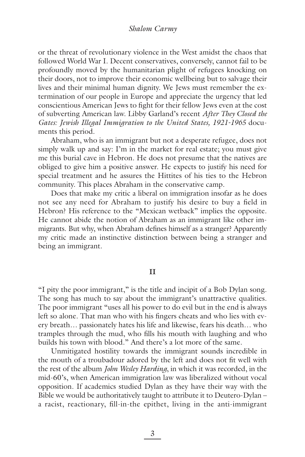or the threat of revolutionary violence in the West amidst the chaos that followed World War I. Decent conservatives, conversely, cannot fail to be profoundly moved by the humanitarian plight of refugees knocking on their doors, not to improve their economic wellbeing but to salvage their lives and their minimal human dignity. We Jews must remember the extermination of our people in Europe and appreciate the urgency that led conscientious American Jews to fight for their fellow Jews even at the cost of subverting American law. Libby Garland's recent *After They Closed the Gates: Jewish Illegal Immigration to the United States, 1921-1965* documents this period.

Abraham, who is an immigrant but not a desperate refugee, does not simply walk up and say: I'm in the market for real estate; you must give me this burial cave in Hebron. He does not presume that the natives are obliged to give him a positive answer. He expects to justify his need for special treatment and he assures the Hittites of his ties to the Hebron community. This places Abraham in the conservative camp.

Does that make my critic a liberal on immigration insofar as he does not see any need for Abraham to justify his desire to buy a field in Hebron? His reference to the "Mexican wetback" implies the opposite. He cannot abide the notion of Abraham as an immigrant like other immigrants. But why, when Abraham defines himself as a stranger? Apparently my critic made an instinctive distinction between being a stranger and being an immigrant.

#### **II**

"I pity the poor immigrant," is the title and incipit of a Bob Dylan song. The song has much to say about the immigrant's unattractive qualities. The poor immigrant "uses all his power to do evil but in the end is always left so alone. That man who with his fingers cheats and who lies with every breath… passionately hates his life and likewise, fears his death… who tramples through the mud, who fills his mouth with laughing and who builds his town with blood." And there's a lot more of the same.

Unmitigated hostility towards the immigrant sounds incredible in the mouth of a troubadour adored by the left and does not fit well with the rest of the album *John Wesley Harding*, in which it was recorded, in the mid-60's, when American immigration law was liberalized without vocal opposition. If academics studied Dylan as they have their way with the Bible we would be authoritatively taught to attribute it to Deutero-Dylan – a racist, reactionary, fill-in-the epithet, living in the anti-immigrant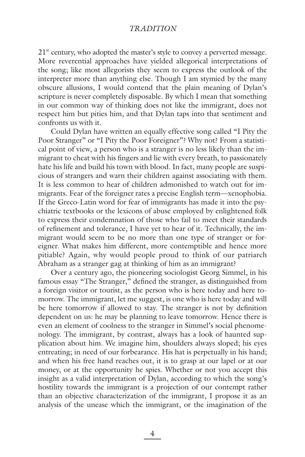## *TRADITION*

 $21<sup>st</sup>$  century, who adopted the master's style to convey a perverted message. More reverential approaches have yielded allegorical interpretations of the song; like most allegorists they seem to express the outlook of the interpreter more than anything else. Though I am stymied by the many obscure allusions, I would contend that the plain meaning of Dylan's scripture is never completely disposable. By which I mean that something in our common way of thinking does not like the immigrant, does not respect him but pities him, and that Dylan taps into that sentiment and confronts us with it.

Could Dylan have written an equally effective song called "I Pity the Poor Stranger" or "I Pity the Poor Foreigner"? Why not? From a statistical point of view, a person who is a stranger is no less likely than the immigrant to cheat with his fingers and lie with every breath, to passionately hate his life and build his town with blood. In fact, many people are suspicious of strangers and warn their children against associating with them. It is less common to hear of children admonished to watch out for immigrants. Fear of the foreigner rates a precise English term—xenophobia. If the Greco-Latin word for fear of immigrants has made it into the psychiatric textbooks or the lexicons of abuse employed by enlightened folk to express their condemnation of those who fail to meet their standards of refinement and tolerance, I have yet to hear of it. Technically, the immigrant would seem to be no more than one type of stranger or foreigner. What makes him different, more contemptible and hence more pitiable? Again, why would people proud to think of our patriarch Abraham as a stranger gag at thinking of him as an immigrant?

Over a century ago, the pioneering sociologist Georg Simmel, in his famous essay "The Stranger," defined the stranger, as distinguished from a foreign visitor or tourist, as the person who is here today and here tomorrow. The immigrant, let me suggest, is one who is here today and will be here tomorrow if allowed to stay. The stranger is not by definition dependent on us: he may be planning to leave tomorrow. Hence there is even an element of coolness to the stranger in Simmel's social phenomenology. The immigrant, by contrast, always has a look of haunted supplication about him. We imagine him, shoulders always sloped; his eyes entreating; in need of our forbearance. His hat is perpetually in his hand; and when his free hand reaches out, it is to grasp at our lapel or at our money, or at the opportunity he spies. Whether or not you accept this insight as a valid interpretation of Dylan, according to which the song's hostility towards the immigrant is a projection of our contempt rather than an objective characterization of the immigrant, I propose it as an analysis of the unease which the immigrant, or the imagination of the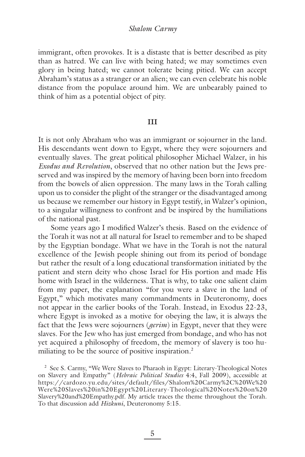#### *Shalom Carmy*

immigrant, often provokes. It is a distaste that is better described as pity than as hatred. We can live with being hated; we may sometimes even glory in being hated; we cannot tolerate being pitied. We can accept Abraham's status as a stranger or an alien; we can even celebrate his noble distance from the populace around him. We are unbearably pained to think of him as a potential object of pity.

#### **III**

It is not only Abraham who was an immigrant or sojourner in the land. His descendants went down to Egypt, where they were sojourners and eventually slaves. The great political philosopher Michael Walzer, in his *Exodus and Revolution*, observed that no other nation but the Jews preserved and was inspired by the memory of having been born into freedom from the bowels of alien oppression. The many laws in the Torah calling upon us to consider the plight of the stranger or the disadvantaged among us because we remember our history in Egypt testify, in Walzer's opinion, to a singular willingness to confront and be inspired by the humiliations of the national past.

Some years ago I modified Walzer's thesis. Based on the evidence of the Torah it was not at all natural for Israel to remember and to be shaped by the Egyptian bondage. What we have in the Torah is not the natural excellence of the Jewish people shining out from its period of bondage but rather the result of a long educational transformation initiated by the patient and stern deity who chose Israel for His portion and made His home with Israel in the wilderness. That is why, to take one salient claim from my paper, the explanation "for you were a slave in the land of Egypt," which motivates many commandments in Deuteronomy, does not appear in the earlier books of the Torah. Instead, in Exodus 22-23, where Egypt is invoked as a motive for obeying the law, it is always the fact that the Jews were sojourners (*gerim*) in Egypt, never that they were slaves. For the Jew who has just emerged from bondage, and who has not yet acquired a philosophy of freedom, the memory of slavery is too humiliating to be the source of positive inspiration.<sup>2</sup>

<sup>2</sup> See S. Carmy, "We Were Slaves to Pharaoh in Egypt: Literary-Theological Notes on Slavery and Empathy" (*Hebraic Political Studies* 4:4, Fall 2009), accessible at https://cardozo.yu.edu/sites/default/files/Shalom%20Carmy%2C%20We%20 Were%20Slaves%20in%20Egypt%20Literary-Theological%20Notes%20on%20 Slavery%20and%20Empathy.pdf. My article traces the theme throughout the Torah. To that discussion add *Hizkuni*, Deuteronomy 5:15.